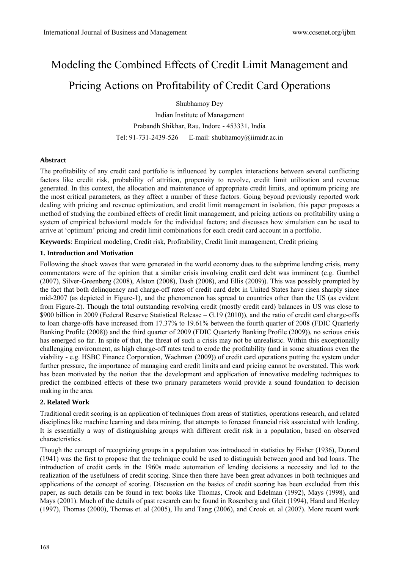# Modeling the Combined Effects of Credit Limit Management and

# Pricing Actions on Profitability of Credit Card Operations

Shubhamoy Dey

Indian Institute of Management Prabandh Shikhar, Rau, Indore - 453331, India Tel: 91-731-2439-526 E-mail: shubhamoy@iimidr.ac.in

# **Abstract**

The profitability of any credit card portfolio is influenced by complex interactions between several conflicting factors like credit risk, probability of attrition, propensity to revolve, credit limit utilization and revenue generated. In this context, the allocation and maintenance of appropriate credit limits, and optimum pricing are the most critical parameters, as they affect a number of these factors. Going beyond previously reported work dealing with pricing and revenue optimization, and credit limit management in isolation, this paper proposes a method of studying the combined effects of credit limit management, and pricing actions on profitability using a system of empirical behavioral models for the individual factors; and discusses how simulation can be used to arrive at 'optimum' pricing and credit limit combinations for each credit card account in a portfolio.

**Keywords**: Empirical modeling, Credit risk, Profitability, Credit limit management, Credit pricing

# **1. Introduction and Motivation**

Following the shock waves that were generated in the world economy dues to the subprime lending crisis, many commentators were of the opinion that a similar crisis involving credit card debt was imminent (e.g. Gumbel (2007), Silver-Greenberg (2008), Alston (2008), Dash (2008), and Ellis (2009)). This was possibly prompted by the fact that both delinquency and charge-off rates of credit card debt in United States have risen sharply since mid-2007 (as depicted in Figure-1), and the phenomenon has spread to countries other than the US (as evident from Figure-2). Though the total outstanding revolving credit (mostly credit card) balances in US was close to \$900 billion in 2009 (Federal Reserve Statistical Release – G.19 (2010)), and the ratio of credit card charge-offs to loan charge-offs have increased from 17.37% to 19.61% between the fourth quarter of 2008 (FDIC Quarterly Banking Profile (2008)) and the third quarter of 2009 (FDIC Quarterly Banking Profile (2009)), no serious crisis has emerged so far. In spite of that, the threat of such a crisis may not be unrealistic. Within this exceptionally challenging environment, as high charge-off rates tend to erode the profitability (and in some situations even the viability - e.g. HSBC Finance Corporation, Wachman (2009)) of credit card operations putting the system under further pressure, the importance of managing card credit limits and card pricing cannot be overstated. This work has been motivated by the notion that the development and application of innovative modeling techniques to predict the combined effects of these two primary parameters would provide a sound foundation to decision making in the area.

# **2. Related Work**

Traditional credit scoring is an application of techniques from areas of statistics, operations research, and related disciplines like machine learning and data mining, that attempts to forecast financial risk associated with lending. It is essentially a way of distinguishing groups with different credit risk in a population, based on observed characteristics.

Though the concept of recognizing groups in a population was introduced in statistics by Fisher (1936), Durand (1941) was the first to propose that the technique could be used to distinguish between good and bad loans. The introduction of credit cards in the 1960s made automation of lending decisions a necessity and led to the realization of the usefulness of credit scoring. Since then there have been great advances in both techniques and applications of the concept of scoring. Discussion on the basics of credit scoring has been excluded from this paper, as such details can be found in text books like Thomas, Crook and Edelman (1992), Mays (1998), and Mays (2001). Much of the details of past research can be found in Rosenberg and Gleit (1994), Hand and Henley (1997), Thomas (2000), Thomas et. al (2005), Hu and Tang (2006), and Crook et. al (2007). More recent work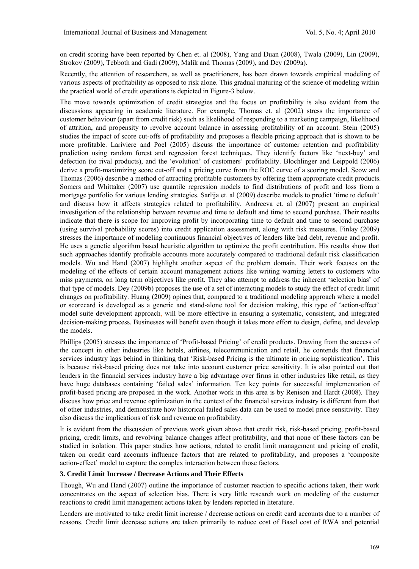on credit scoring have been reported by Chen et. al (2008), Yang and Duan (2008), Twala (2009), Lin (2009), Strokov (2009), Tebboth and Gadi (2009), Malik and Thomas (2009), and Dey (2009a).

Recently, the attention of researchers, as well as practitioners, has been drawn towards empirical modeling of various aspects of profitability as opposed to risk alone. This gradual maturing of the science of modeling within the practical world of credit operations is depicted in Figure-3 below.

The move towards optimization of credit strategies and the focus on profitability is also evident from the discussions appearing in academic literature. For example, Thomas et. al (2002) stress the importance of customer behaviour (apart from credit risk) such as likelihood of responding to a marketing campaign, likelihood of attrition, and propensity to revolve account balance in assessing profitability of an account. Stein (2005) studies the impact of score cut-offs of profitability and proposes a flexible pricing approach that is shown to be more profitable. Lariviere and Poel (2005) discuss the importance of customer retention and profitability prediction using random forest and regression forest techniques. They identify factors like 'next-buy' and defection (to rival products), and the 'evolution' of customers' profitability. Blochlinger and Leippold (2006) derive a profit-maximizing score cut-off and a pricing curve from the ROC curve of a scoring model. Seow and Thomas (2006) describe a method of attracting profitable customers by offering them appropriate credit products. Somers and Whittaker (2007) use quantile regression models to find distributions of profit and loss from a mortgage portfolio for various lending strategies. Sarlija et. al (2009) describe models to predict 'time to default' and discuss how it affects strategies related to profitability. Andreeva et. al (2007) present an empirical investigation of the relationship between revenue and time to default and time to second purchase. Their results indicate that there is scope for improving profit by incorporating time to default and time to second purchase (using survival probability scores) into credit application assessment, along with risk measures. Finlay (2009) stresses the importance of modeling continuous financial objectives of lenders like bad debt, revenue and profit. He uses a genetic algorithm based heuristic algorithm to optimize the profit contribution. His results show that such approaches identify profitable accounts more accurately compared to traditional default risk classification models. Wu and Hand (2007) highlight another aspect of the problem domain. Their work focuses on the modeling of the effects of certain account management actions like writing warning letters to customers who miss payments, on long term objectives like profit. They also attempt to address the inherent 'selection bias' of that type of models. Dey (2009b) proposes the use of a set of interacting models to study the effect of credit limit changes on profitability. Huang (2009) opines that, compared to a traditional modeling approach where a model or scorecard is developed as a generic and stand-alone tool for decision making, this type of 'action-effect' model suite development approach, will be more effective in ensuring a systematic, consistent, and integrated decision-making process. Businesses will benefit even though it takes more effort to design, define, and develop the models.

Phillips (2005) stresses the importance of 'Profit-based Pricing' of credit products. Drawing from the success of the concept in other industries like hotels, airlines, telecommunication and retail, he contends that financial services industry lags behind in thinking that 'Risk-based Pricing is the ultimate in pricing sophistication'. This is because risk-based pricing does not take into account customer price sensitivity. It is also pointed out that lenders in the financial services industry have a big advantage over firms in other industries like retail, as they have huge databases containing 'failed sales' information. Ten key points for successful implementation of profit-based pricing are proposed in the work. Another work in this area is by Renison and Hardt (2008). They discuss how price and revenue optimization in the context of the financial services industry is different from that of other industries, and demonstrate how historical failed sales data can be used to model price sensitivity. They also discuss the implications of risk and revenue on profitability.

It is evident from the discussion of previous work given above that credit risk, risk-based pricing, profit-based pricing, credit limits, and revolving balance changes affect profitability, and that none of these factors can be studied in isolation. This paper studies how actions, related to credit limit management and pricing of credit, taken on credit card accounts influence factors that are related to profitability, and proposes a 'composite action-effect' model to capture the complex interaction between those factors.

### **3. Credit Limit Increase / Decrease Actions and Their Effects**

Though, Wu and Hand (2007) outline the importance of customer reaction to specific actions taken, their work concentrates on the aspect of selection bias. There is very little research work on modeling of the customer reactions to credit limit management actions taken by lenders reported in literature.

Lenders are motivated to take credit limit increase / decrease actions on credit card accounts due to a number of reasons. Credit limit decrease actions are taken primarily to reduce cost of Basel cost of RWA and potential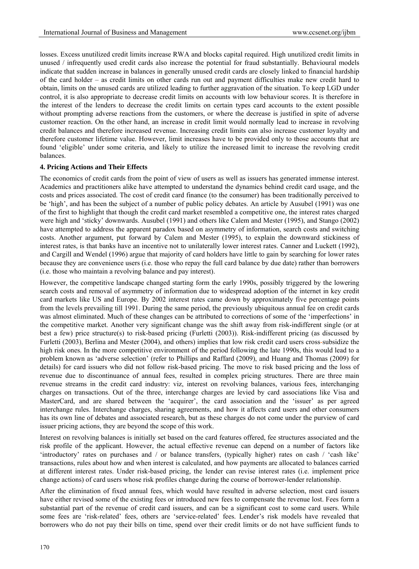losses. Excess unutilized credit limits increase RWA and blocks capital required. High unutilized credit limits in unused / infrequently used credit cards also increase the potential for fraud substantially. Behavioural models indicate that sudden increase in balances in generally unused credit cards are closely linked to financial hardship of the card holder – as credit limits on other cards run out and payment difficulties make new credit hard to obtain, limits on the unused cards are utilized leading to further aggravation of the situation. To keep LGD under control, it is also appropriate to decrease credit limits on accounts with low behaviour scores. It is therefore in the interest of the lenders to decrease the credit limits on certain types card accounts to the extent possible without prompting adverse reactions from the customers, or where the decrease is justified in spite of adverse customer reaction. On the other hand, an increase in credit limit would normally lead to increase in revolving credit balances and therefore increased revenue. Increasing credit limits can also increase customer loyalty and therefore customer lifetime value. However, limit increases have to be provided only to those accounts that are found 'eligible' under some criteria, and likely to utilize the increased limit to increase the revolving credit balances.

#### **4. Pricing Actions and Their Effects**

The economics of credit cards from the point of view of users as well as issuers has generated immense interest. Academics and practitioners alike have attempted to understand the dynamics behind credit card usage, and the costs and prices associated. The cost of credit card finance (to the consumer) has been traditionally perceived to be 'high', and has been the subject of a number of public policy debates. An article by Ausubel (1991) was one of the first to highlight that though the credit card market resembled a competitive one, the interest rates charged were high and 'sticky' downwards. Ausubel (1991) and others like Calem and Mester (1995), and Stango (2002) have attempted to address the apparent paradox based on asymmetry of information, search costs and switching costs. Another argument, put forward by Calem and Mester (1995), to explain the downward stickiness of interest rates, is that banks have an incentive not to unilaterally lower interest rates. Canner and Luckett (1992), and Cargill and Wendel (1996) argue that majority of card holders have little to gain by searching for lower rates because they are convenience users (i.e. those who repay the full card balance by due date) rather than borrowers (i.e. those who maintain a revolving balance and pay interest).

However, the competitive landscape changed starting form the early 1990s, possibly triggered by the lowering search costs and removal of asymmetry of information due to widespread adoption of the internet in key credit card markets like US and Europe. By 2002 interest rates came down by approximately five percentage points from the levels prevailing till 1991. During the same period, the previously ubiquitous annual fee on credit cards was almost eliminated. Much of these changes can be attributed to corrections of some of the 'imperfections' in the competitive market. Another very significant change was the shift away from risk-indifferent single (or at best a few) price structure(s) to risk-based pricing (Furletti (2003)). Risk-indifferent pricing (as discussed by Furletti (2003), Berlina and Mester (2004), and others) implies that low risk credit card users cross-subsidize the high risk ones. In the more competitive environment of the period following the late 1990s, this would lead to a problem known as 'adverse selection' (refer to Phillips and Raffard (2009), and Huang and Thomas (2009) for details) for card issuers who did not follow risk-based pricing. The move to risk based pricing and the loss of revenue due to discontinuance of annual fees, resulted in complex pricing structures. There are three main revenue streams in the credit card industry: viz, interest on revolving balances, various fees, interchanging charges on transactions. Out of the three, interchange charges are levied by card associations like Visa and MasterCard, and are shared between the 'acquirer', the card association and the 'issuer' as per agreed interchange rules. Interchange charges, sharing agreements, and how it affects card users and other consumers has its own line of debates and associated research, but as these charges do not come under the purview of card issuer pricing actions, they are beyond the scope of this work.

Interest on revolving balances is initially set based on the card features offered, fee structures associated and the risk profile of the applicant. However, the actual effective revenue can depend on a number of factors like 'introductory' rates on purchases and / or balance transfers, (typically higher) rates on cash / 'cash like' transactions, rules about how and when interest is calculated, and how payments are allocated to balances carried at different interest rates. Under risk-based pricing, the lender can revise interest rates (i.e. implement price change actions) of card users whose risk profiles change during the course of borrower-lender relationship.

After the elimination of fixed annual fees, which would have resulted in adverse selection, most card issuers have either revised some of the existing fees or introduced new fees to compensate the revenue lost. Fees form a substantial part of the revenue of credit card issuers, and can be a significant cost to some card users. While some fees are 'risk-related' fees, others are 'service-related' fees. Lender's risk models have revealed that borrowers who do not pay their bills on time, spend over their credit limits or do not have sufficient funds to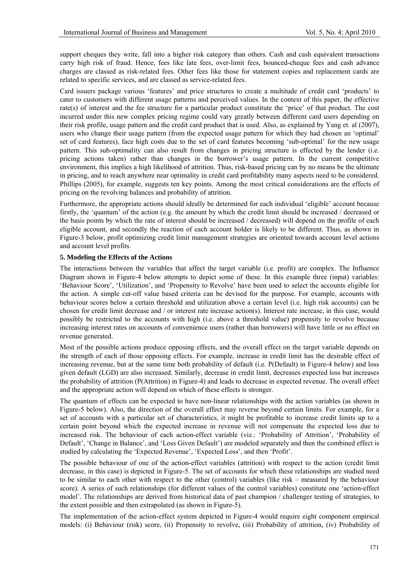support cheques they write, fall into a higher risk category than others. Cash and cash equivalent transactions carry high risk of fraud. Hence, fees like late fees, over-limit fees, bounced-cheque fees and cash advance charges are classed as risk-related fees. Other fees like those for statement copies and replacement cards are related to specific services, and are classed as service-related fees.

Card issuers package various 'features' and price structures to create a multitude of credit card 'products' to cater to customers with different usage patterns and perceived values. In the context of this paper, the effective rate(s) of interest and the fee structure for a particular product constitute the 'price' of that product. The cost incurred under this new complex pricing regime could vary greatly between different card users depending on their risk profile, usage pattern and the credit card product that is used. Also, as explained by Yang et. al (2007), users who change their usage pattern (from the expected usage pattern for which they had chosen an 'optimal' set of card features), face high costs due to the set of card features becoming 'sub-optimal' for the new usage pattern. This sub-optimality can also result from changes in pricing structure is effected by the lender (i.e. pricing actions taken) rather than changes in the borrower's usage pattern. In the current competitive environment, this implies a high likelihood of attrition. Thus, risk-based pricing can by no means be the ultimate in pricing, and to reach anywhere near optimality in credit card profitability many aspects need to be considered. Phillips (2005), for example, suggests ten key points. Among the most critical considerations are the effects of pricing on the revolving balances and probability of attrition.

Furthermore, the appropriate actions should ideally be determined for each individual 'eligible' account because firstly, the 'quantum' of the action (e.g. the amount by which the credit limit should be increased / decreased or the basis points by which the rate of interest should be increased / decreased) will depend on the profile of each eligible account, and secondly the reaction of each account holder is likely to be different. Thus, as shown in Figure-3 below, profit optimizing credit limit management strategies are oriented towards account level actions and account level profits.

### **5. Modeling the Effects of the Actions**

The interactions between the variables that affect the target variable (i.e. profit) are complex. The Influence Diagram shown in Figure-4 below attempts to depict some of these. In this example three (input) variables: 'Behaviour Score', 'Utilization', and 'Propensity to Revolve' have been used to select the accounts eligible for the action. A simple cut-off value based criteria can be devised for the purpose. For example, accounts with behaviour scores below a certain threshold and utilization above a certain level (i.e. high risk accounts) can be chosen for credit limit decrease and / or interest rate increase action(s). Interest rate increase, in this case, would possibly be restricted to the accounts with high (i.e. above a threshold value) propensity to revolve because increasing interest rates on accounts of convenience users (rather than borrowers) will have little or no effect on revenue generated.

Most of the possible actions produce opposing effects, and the overall effect on the target variable depends on the strength of each of those opposing effects. For example, increase in credit limit has the desirable effect of increasing revenue, but at the same time both probability of default (i.e. P(Default) in Figure-4 below) and loss given default (LGD) are also increased. Similarly, decrease in credit limit, decreases expected loss but increases the probability of attrition (P(Attrition) in Figure-4) and leads to decrease in expected revenue. The overall effect and the appropriate action will depend on which of these effects is stronger.

The quantum of effects can be expected to have non-linear relationships with the action variables (as shown in Figure-5 below). Also, the direction of the overall effect may reverse beyond certain limits. For example, for a set of accounts with a particular set of characteristics, it might be profitable to increase credit limits up to a certain point beyond which the expected increase in revenue will not compensate the expected loss due to increased risk. The behaviour of each action-effect variable (viz.: 'Probability of Attrition', 'Probability of Default', 'Change in Balance', and 'Loss Given Default') are modeled separately and then the combined effect is studied by calculating the 'Expected Revenue', 'Expected Loss', and then 'Profit'.

The possible behaviour of one of the action-effect variables (attrition) with respect to the action (credit limit decrease, in this case) is depicted in Figure-5. The set of accounts for which these relationships are studied need to be similar to each other with respect to the other (control) variables (like risk – measured by the behaviour score). A series of such relationships (for different values of the control variables) constitute one 'action-effect model'. The relationships are derived from historical data of past champion / challenger testing of strategies, to the extent possible and then extrapolated (as shown in Figure-5).

The implementation of the action-effect system depicted in Figure-4 would require eight component empirical models: (i) Behaviour (risk) score, (ii) Propensity to revolve, (iii) Probability of attrition, (iv) Probability of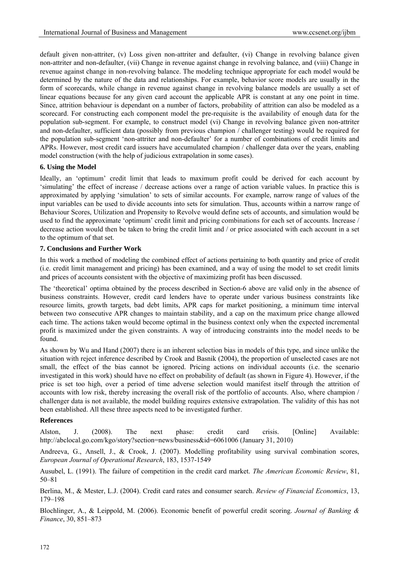default given non-attriter, (v) Loss given non-attriter and defaulter, (vi) Change in revolving balance given non-attriter and non-defaulter, (vii) Change in revenue against change in revolving balance, and (viii) Change in revenue against change in non-revolving balance. The modeling technique appropriate for each model would be determined by the nature of the data and relationships. For example, behavior score models are usually in the form of scorecards, while change in revenue against change in revolving balance models are usually a set of linear equations because for any given card account the applicable APR is constant at any one point in time. Since, attrition behaviour is dependant on a number of factors, probability of attrition can also be modeled as a scorecard. For constructing each component model the pre-requisite is the availability of enough data for the population sub-segment. For example, to construct model (vi) Change in revolving balance given non-attriter and non-defaulter, sufficient data (possibly from previous champion / challenger testing) would be required for the population sub-segment 'non-attriter and non-defaulter' for a number of combinations of credit limits and APRs. However, most credit card issuers have accumulated champion / challenger data over the years, enabling model construction (with the help of judicious extrapolation in some cases).

#### **6. Using the Model**

Ideally, an 'optimum' credit limit that leads to maximum profit could be derived for each account by 'simulating' the effect of increase / decrease actions over a range of action variable values. In practice this is approximated by applying 'simulation' to sets of similar accounts. For example, narrow range of values of the input variables can be used to divide accounts into sets for simulation. Thus, accounts within a narrow range of Behaviour Scores, Utilization and Propensity to Revolve would define sets of accounts, and simulation would be used to find the approximate 'optimum' credit limit and pricing combinations for each set of accounts. Increase / decrease action would then be taken to bring the credit limit and / or price associated with each account in a set to the optimum of that set.

### **7. Conclusions and Further Work**

In this work a method of modeling the combined effect of actions pertaining to both quantity and price of credit (i.e. credit limit management and pricing) has been examined, and a way of using the model to set credit limits and prices of accounts consistent with the objective of maximizing profit has been discussed.

The 'theoretical' optima obtained by the process described in Section-6 above are valid only in the absence of business constraints. However, credit card lenders have to operate under various business constraints like resource limits, growth targets, bad debt limits, APR caps for market positioning, a minimum time interval between two consecutive APR changes to maintain stability, and a cap on the maximum price change allowed each time. The actions taken would become optimal in the business context only when the expected incremental profit is maximized under the given constraints. A way of introducing constraints into the model needs to be found.

As shown by Wu and Hand (2007) there is an inherent selection bias in models of this type, and since unlike the situation with reject inference described by Crook and Basnik (2004), the proportion of unselected cases are not small, the effect of the bias cannot be ignored. Pricing actions on individual accounts (i.e. the scenario investigated in this work) should have no effect on probability of default (as shown in Figure 4). However, if the price is set too high, over a period of time adverse selection would manifest itself through the attrition of accounts with low risk, thereby increasing the overall risk of the portfolio of accounts. Also, where champion / challenger data is not available, the model building requires extensive extrapolation. The validity of this has not been established. All these three aspects need to be investigated further.

#### **References**

Alston, J. (2008). The next phase: credit card crisis. [Online] Available: http://abclocal.go.com/kgo/story?section=news/business&id=6061006 (January 31, 2010)

Andreeva, G., Ansell, J., & Crook, J. (2007). Modelling profitability using survival combination scores, *European Journal of Operational Research*, 183, 1537-1549

Ausubel, L. (1991). The failure of competition in the credit card market. *The American Economic Review*, 81, 50–81

Berlina, M., & Mester, L.J. (2004). Credit card rates and consumer search. *Review of Financial Economics*, 13, 179–198

Blochlinger, A., & Leippold, M. (2006). Economic benefit of powerful credit scoring. *Journal of Banking & Finance*, 30, 851–873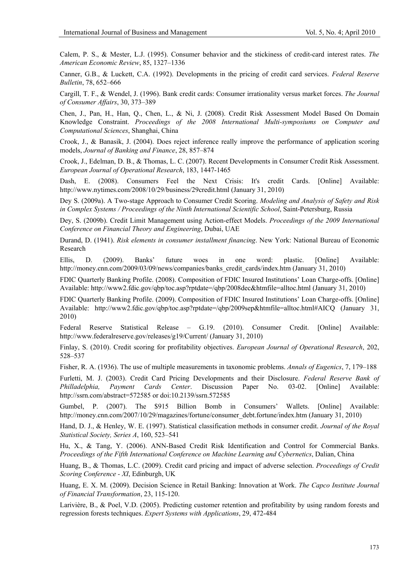Calem, P. S., & Mester, L.J. (1995). Consumer behavior and the stickiness of credit-card interest rates. *The American Economic Review*, 85, 1327–1336

Canner, G.B., & Luckett, C.A. (1992). Developments in the pricing of credit card services. *Federal Reserve Bulletin*, 78, 652–666

Cargill, T. F., & Wendel, J. (1996). Bank credit cards: Consumer irrationality versus market forces. *The Journal of Consumer Affairs*, 30, 373–389

Chen, J., Pan, H., Han, Q., Chen, L., & Ni, J. (2008). Credit Risk Assessment Model Based On Domain Knowledge Constraint. *Proceedings of the 2008 International Multi-symposiums on Computer and Computational Sciences*, Shanghai, China

Crook, J., & Banasik, J. (2004). Does reject inference really improve the performance of application scoring models, *Journal of Banking and Finance*, 28, 857–874

Crook, J., Edelman, D. B., & Thomas, L. C. (2007). Recent Developments in Consumer Credit Risk Assessment. *European Journal of Operational Research*, 183, 1447-1465

Dash, E. (2008). Consumers Feel the Next Crisis: It's credit Cards. [Online] Available: http://www.nytimes.com/2008/10/29/business/29credit.html (January 31, 2010)

Dey S. (2009a). A Two-stage Approach to Consumer Credit Scoring. *Modeling and Analysis of Safety and Risk in Complex Systems / Proceedings of the Ninth International Scientific School*, Saint-Petersburg, Russia

Dey, S. (2009b). Credit Limit Management using Action-effect Models. *Proceedings of the 2009 International Conference on Financial Theory and Engineering*, Dubai, UAE

Durand, D. (1941). *Risk elements in consumer installment financing*. New York: National Bureau of Economic Research

Ellis, D. (2009). Banks' future woes in one word: plastic. [Online] Available: http://money.cnn.com/2009/03/09/news/companies/banks\_credit\_cards/index.htm (January 31, 2010)

FDIC Quarterly Banking Profile. (2008). Composition of FDIC Insured Institutions' Loan Charge-offs. [Online] Available: http://www2.fdic.gov/qbp/toc.asp?rptdate=/qbp/2008dec&htmfile=alltoc.html (January 31, 2010)

FDIC Quarterly Banking Profile. (2009). Composition of FDIC Insured Institutions' Loan Charge-offs. [Online] Available: http://www2.fdic.gov/qbp/toc.asp?rptdate=/qbp/2009sep&htmfile=alltoc.html#AICQ (January 31, 2010)

Federal Reserve Statistical Release – G.19. (2010). Consumer Credit. [Online] Available: http://www.federalreserve.gov/releases/g19/Current/ (January 31, 2010)

Finlay, S. (2010). Credit scoring for profitability objectives. *European Journal of Operational Research*, 202, 528–537

Fisher, R. A. (1936). The use of multiple measurements in taxonomic problems. *Annals of Eugenics*, 7, 179–188

Furletti, M. J. (2003). Credit Card Pricing Developments and their Disclosure. *Federal Reserve Bank of Philladelphia, Payment Cards Center*. Discussion Paper No. 03-02. [Online] Available: http://ssrn.com/abstract=572585 or doi:10.2139/ssrn.572585

Gumbel, P. (2007). The \$915 Billion Bomb in Consumers' Wallets. [Online] Available: http://money.cnn.com/2007/10/29/magazines/fortune/consumer\_debt.fortune/index.htm (January 31, 2010)

Hand, D. J., & Henley, W. E. (1997). Statistical classification methods in consumer credit. *Journal of the Royal Statistical Society, Series A*, 160, 523–541

Hu, X., & Tang, Y. (2006). ANN-Based Credit Risk Identification and Control for Commercial Banks. *Proceedings of the Fifth International Conference on Machine Learning and Cybernetics*, Dalian, China

Huang, B., & Thomas, L.C. (2009). Credit card pricing and impact of adverse selection. *Proceedings of Credit Scoring Conference - XI*, Edinburgh, UK

Huang, E. X. M. (2009). Decision Science in Retail Banking: Innovation at Work. *The Capco Institute Journal of Financial Transformation*, 23, 115-120.

Larivière, B., & Poel, V.D. (2005). Predicting customer retention and profitability by using random forests and regression forests techniques. *Expert Systems with Applications*, 29, 472-484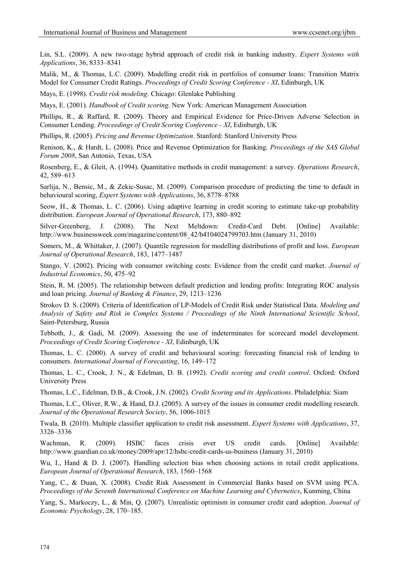Lin, S.L. (2009). A new two-stage hybrid approach of credit risk in banking industry. *Expert Systems with Applications*, 36, 8333–8341

Malik, M., & Thomas, L.C. (2009). Modelling credit risk in portfolios of consumer loans: Transition Matrix Model for Consumer Credit Ratings. *Proceedings of Credit Scoring Conference - XI*, Edinburgh, UK

Mays, E. (1998). *Credit risk modeling*. Chicago: Glenlake Publishing

Mays, E. (2001). *Handbook of Credit scoring*. New York: American Management Association

Phillips, R., & Raffard, R. (2009). Theory and Empirical Evidence for Price-Driven Adverse Selection in Consumer Lending. *Proceedings of Credit Scoring Conference - XI*, Edinburgh, UK

Phillips, R. (2005). *Pricing and Revenue Optimization*. Stanford: Stanford University Press

Renison, K., & Hardt, L. (2008). Price and Revenue Optimization for Banking. *Proceedings of the SAS Global Forum 2008*, San Antonio, Texas, USA

Rosenberg, E., & Gleit, A. (1994). Quantitative methods in credit management: a survey. *Operations Research*, 42, 589–613

Sarlija, N., Bensic, M., & Zekic-Susac, M. (2009). Comparison procedure of predicting the time to default in behavioural scoring, *Expert Systems with Applications*, 36, 8778–8788

Seow, H., & Thomas, L. C. (2006). Using adaptive learning in credit scoring to estimate take-up probability distribution. *European Journal of Operational Research*, 173, 880–892

Silver-Greenberg, J. (2008). The Next Meltdown: Credit-Card Debt. [Online] Available: http://www.businessweek.com/magazine/content/08\_42/b4104024799703.htm (January 31, 2010)

Somers, M., & Whittaker, J. (2007). Quantile regression for modelling distributions of profit and loss. *European Journal of Operational Research*, 183, 1477–1487

Stango, V. (2002). Pricing with consumer switching costs: Evidence from the credit card market. *Journal of Industrial Economics*, 50, 475–92

Stein, R. M. (2005). The relationship between default prediction and lending profits: Integrating ROC analysis and loan pricing. *Journal of Banking & Finance*, 29, 1213–1236

Strokov D. S. (2009). Criteria of Identification of LP-Models of Credit Risk under Statistical Data. *Modeling and Analysis of Safety and Risk in Complex Systems / Proceedings of the Ninth International Scientific School*, Saint-Petersburg, Russia

Tebboth, J., & Gadi, M. (2009). Assessing the use of indeterminates for scorecard model development. *Proceedings of Credit Scoring Conference - XI*, Edinburgh, UK

Thomas, L. C. (2000). A survey of credit and behavioural scoring: forecasting financial risk of lending to consumers. *International Journal of Forecasting*, 16, 149–172

Thomas, L. C., Crook, J. N., & Edelman, D. B. (1992). *Credit scoring and credit control*. Oxford: Oxford University Press

Thomas, L.C., Edelman, D.B., & Crook, J.N. (2002). *Credit Scoring and its Applications*. Philadelphia: Siam

Thomas, L.C., Oliver, R.W., & Hand, D.J. (2005). A survey of the issues in consumer credit modelling research. *Journal of the Operational Research Society*, 56, 1006-1015

Twala, B. (2010). Multiple classifier application to credit risk assessment. *Expert Systems with Applications*, 37, 3326–3336

Wachman, R. (2009). HSBC faces crisis over US credit cards. [Online] Available: http://www.guardian.co.uk/money/2009/apr/12/hsbc-credit-cards-us-business (January 31, 2010)

Wu, I., Hand & D. J. (2007). Handling selection bias when choosing actions in retail credit applications. *European Journal of Operational Research*, 183, 1560–1568

Yang, C., & Duan, X. (2008). Credit Risk Assessment in Commercial Banks based on SVM using PCA. *Proceedings of the Seventh International Conference on Machine Learning and Cybernetics*, Kunming, China

Yang, S., Markoczy, L., & Min, Q. (2007). Unrealistic optimism in consumer credit card adoption. *Journal of Economic Psychology*, 28, 170–185.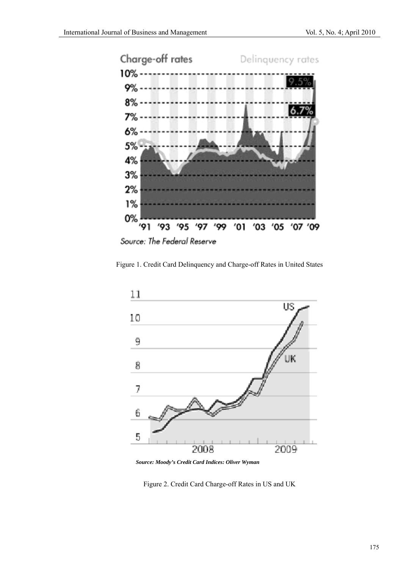

Source: The Federal Reserve

Figure 1. Credit Card Delinquency and Charge-off Rates in United States



*Source: Moody's Credit Card Indices: Oliver Wyman* 

Figure 2. Credit Card Charge-off Rates in US and UK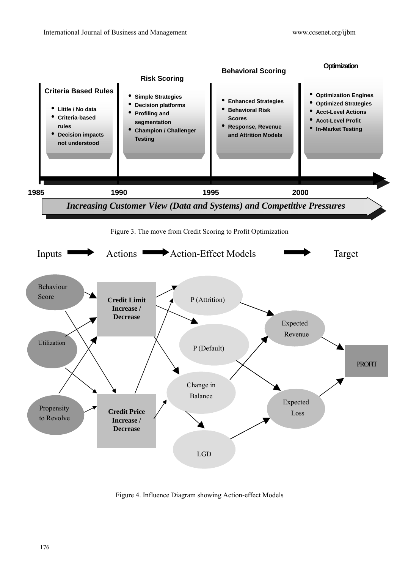

Figure 4. Influence Diagram showing Action-effect Models